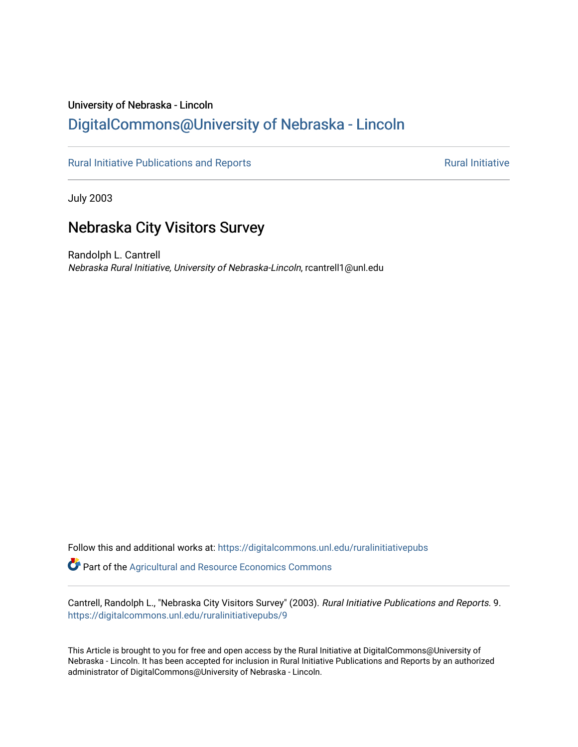# University of Nebraska - Lincoln [DigitalCommons@University of Nebraska - Lincoln](https://digitalcommons.unl.edu/)

[Rural Initiative Publications and Reports](https://digitalcommons.unl.edu/ruralinitiativepubs) **Rural Initiative** Rural Initiative

July 2003

# Nebraska City Visitors Survey

Randolph L. Cantrell Nebraska Rural Initiative, University of Nebraska-Lincoln, rcantrell1@unl.edu

Follow this and additional works at: [https://digitalcommons.unl.edu/ruralinitiativepubs](https://digitalcommons.unl.edu/ruralinitiativepubs?utm_source=digitalcommons.unl.edu%2Fruralinitiativepubs%2F9&utm_medium=PDF&utm_campaign=PDFCoverPages)  Part of the [Agricultural and Resource Economics Commons](http://network.bepress.com/hgg/discipline/317?utm_source=digitalcommons.unl.edu%2Fruralinitiativepubs%2F9&utm_medium=PDF&utm_campaign=PDFCoverPages) 

Cantrell, Randolph L., "Nebraska City Visitors Survey" (2003). Rural Initiative Publications and Reports. 9. [https://digitalcommons.unl.edu/ruralinitiativepubs/9](https://digitalcommons.unl.edu/ruralinitiativepubs/9?utm_source=digitalcommons.unl.edu%2Fruralinitiativepubs%2F9&utm_medium=PDF&utm_campaign=PDFCoverPages) 

This Article is brought to you for free and open access by the Rural Initiative at DigitalCommons@University of Nebraska - Lincoln. It has been accepted for inclusion in Rural Initiative Publications and Reports by an authorized administrator of DigitalCommons@University of Nebraska - Lincoln.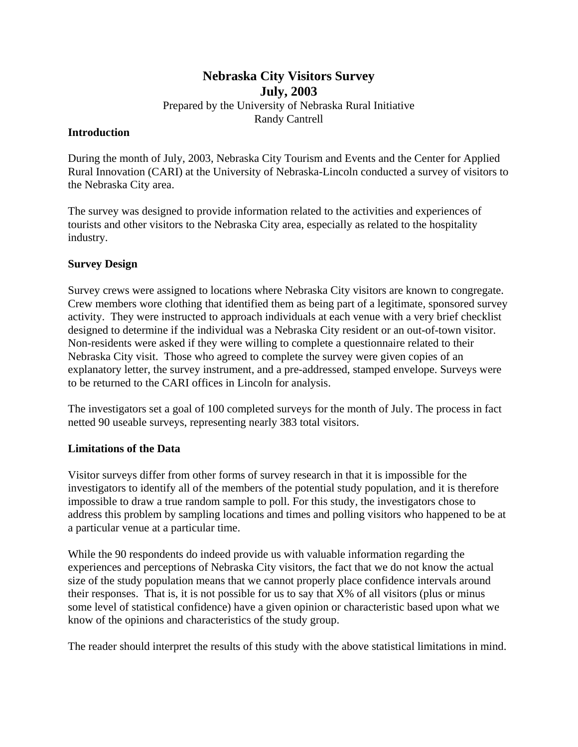# **Nebraska City Visitors Survey July, 2003**

Prepared by the University of Nebraska Rural Initiative Randy Cantrell

### **Introduction**

During the month of July, 2003, Nebraska City Tourism and Events and the Center for Applied Rural Innovation (CARI) at the University of Nebraska-Lincoln conducted a survey of visitors to the Nebraska City area.

The survey was designed to provide information related to the activities and experiences of tourists and other visitors to the Nebraska City area, especially as related to the hospitality industry.

## **Survey Design**

Survey crews were assigned to locations where Nebraska City visitors are known to congregate. Crew members wore clothing that identified them as being part of a legitimate, sponsored survey activity. They were instructed to approach individuals at each venue with a very brief checklist designed to determine if the individual was a Nebraska City resident or an out-of-town visitor. Non-residents were asked if they were willing to complete a questionnaire related to their Nebraska City visit. Those who agreed to complete the survey were given copies of an explanatory letter, the survey instrument, and a pre-addressed, stamped envelope. Surveys were to be returned to the CARI offices in Lincoln for analysis.

The investigators set a goal of 100 completed surveys for the month of July. The process in fact netted 90 useable surveys, representing nearly 383 total visitors.

## **Limitations of the Data**

Visitor surveys differ from other forms of survey research in that it is impossible for the investigators to identify all of the members of the potential study population, and it is therefore impossible to draw a true random sample to poll. For this study, the investigators chose to address this problem by sampling locations and times and polling visitors who happened to be at a particular venue at a particular time.

While the 90 respondents do indeed provide us with valuable information regarding the experiences and perceptions of Nebraska City visitors, the fact that we do not know the actual size of the study population means that we cannot properly place confidence intervals around their responses. That is, it is not possible for us to say that X% of all visitors (plus or minus some level of statistical confidence) have a given opinion or characteristic based upon what we know of the opinions and characteristics of the study group.

The reader should interpret the results of this study with the above statistical limitations in mind.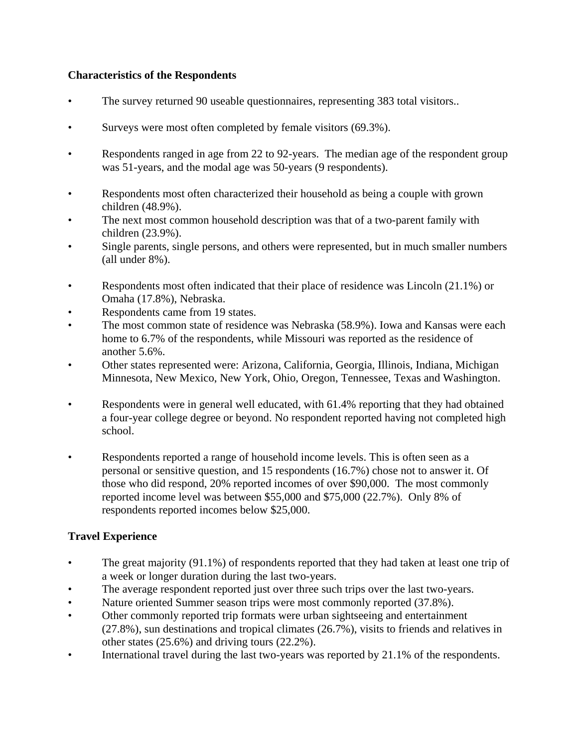## **Characteristics of the Respondents**

- The survey returned 90 useable questionnaires, representing 383 total visitors..
- Surveys were most often completed by female visitors (69.3%).
- Respondents ranged in age from 22 to 92-years. The median age of the respondent group was 51-years, and the modal age was 50-years (9 respondents).
- Respondents most often characterized their household as being a couple with grown children (48.9%).
- The next most common household description was that of a two-parent family with children (23.9%).
- Single parents, single persons, and others were represented, but in much smaller numbers (all under 8%).
- Respondents most often indicated that their place of residence was Lincoln (21.1%) or Omaha (17.8%), Nebraska.
- Respondents came from 19 states.
- The most common state of residence was Nebraska (58.9%). Iowa and Kansas were each home to 6.7% of the respondents, while Missouri was reported as the residence of another 5.6%.
- Other states represented were: Arizona, California, Georgia, Illinois, Indiana, Michigan Minnesota, New Mexico, New York, Ohio, Oregon, Tennessee, Texas and Washington.
- Respondents were in general well educated, with 61.4% reporting that they had obtained a four-year college degree or beyond. No respondent reported having not completed high school.
- Respondents reported a range of household income levels. This is often seen as a personal or sensitive question, and 15 respondents (16.7%) chose not to answer it. Of those who did respond, 20% reported incomes of over \$90,000. The most commonly reported income level was between \$55,000 and \$75,000 (22.7%). Only 8% of respondents reported incomes below \$25,000.

# **Travel Experience**

- The great majority (91.1%) of respondents reported that they had taken at least one trip of a week or longer duration during the last two-years.
- The average respondent reported just over three such trips over the last two-years.
- Nature oriented Summer season trips were most commonly reported (37.8%).
- Other commonly reported trip formats were urban sightseeing and entertainment (27.8%), sun destinations and tropical climates (26.7%), visits to friends and relatives in other states (25.6%) and driving tours (22.2%).
- International travel during the last two-years was reported by 21.1% of the respondents.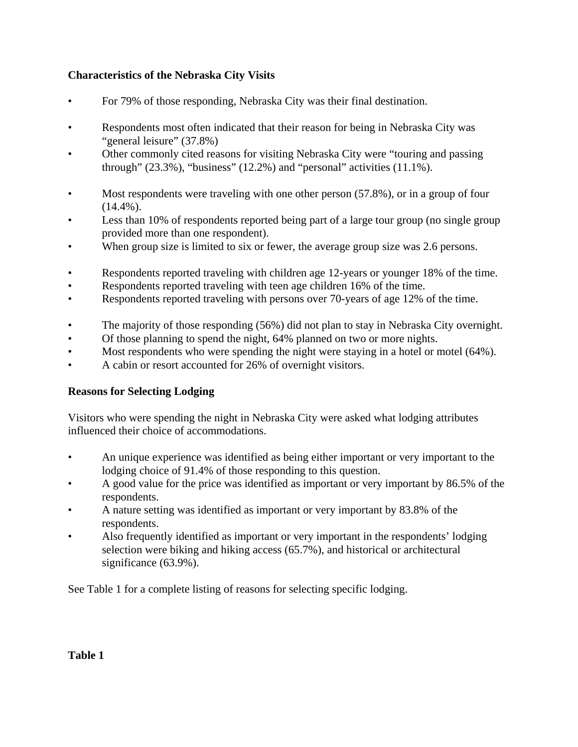## **Characteristics of the Nebraska City Visits**

- For 79% of those responding, Nebraska City was their final destination.
- Respondents most often indicated that their reason for being in Nebraska City was "general leisure" (37.8%)
- Other commonly cited reasons for visiting Nebraska City were "touring and passing through"  $(23.3\%)$ , "business"  $(12.2\%)$  and "personal" activities  $(11.1\%)$ .
- Most respondents were traveling with one other person  $(57.8\%)$ , or in a group of four  $(14.4\%)$ .
- Less than 10% of respondents reported being part of a large tour group (no single group provided more than one respondent).
- When group size is limited to six or fewer, the average group size was 2.6 persons.
- Respondents reported traveling with children age 12-years or younger 18% of the time.
- Respondents reported traveling with teen age children 16% of the time.
- Respondents reported traveling with persons over 70-years of age 12% of the time.
- The majority of those responding (56%) did not plan to stay in Nebraska City overnight.
- Of those planning to spend the night, 64% planned on two or more nights.
- Most respondents who were spending the night were staying in a hotel or motel (64%).
- A cabin or resort accounted for 26% of overnight visitors.

# **Reasons for Selecting Lodging**

Visitors who were spending the night in Nebraska City were asked what lodging attributes influenced their choice of accommodations.

- An unique experience was identified as being either important or very important to the lodging choice of 91.4% of those responding to this question.
- A good value for the price was identified as important or very important by 86.5% of the respondents.
- A nature setting was identified as important or very important by 83.8% of the respondents.
- Also frequently identified as important or very important in the respondents' lodging selection were biking and hiking access (65.7%), and historical or architectural significance (63.9%).

See Table 1 for a complete listing of reasons for selecting specific lodging.

**Table 1**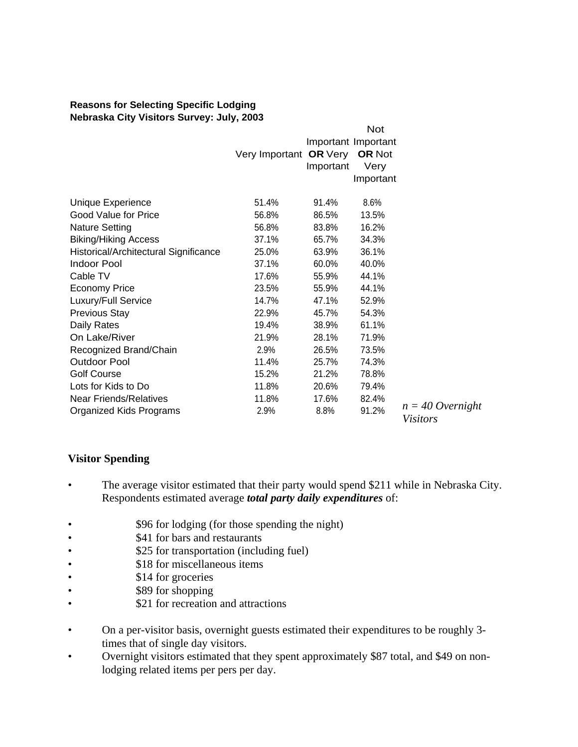#### **Reasons for Selecting Specific Lodging Nebraska City Visitors Survey: July, 2003**

|                                       | <b>Not</b>             |           |               |                                       |
|---------------------------------------|------------------------|-----------|---------------|---------------------------------------|
|                                       | Important Important    |           |               |                                       |
|                                       | Very Important OR Very |           | <b>OR Not</b> |                                       |
|                                       |                        | Important | Very          |                                       |
|                                       |                        |           | Important     |                                       |
| Unique Experience                     | 51.4%                  | 91.4%     | 8.6%          |                                       |
| Good Value for Price                  | 56.8%                  | 86.5%     | 13.5%         |                                       |
| <b>Nature Setting</b>                 | 56.8%                  | 83.8%     | 16.2%         |                                       |
| <b>Biking/Hiking Access</b>           | 37.1%                  | 65.7%     | 34.3%         |                                       |
| Historical/Architectural Significance | 25.0%                  | 63.9%     | 36.1%         |                                       |
| <b>Indoor Pool</b>                    | 37.1%                  | 60.0%     | 40.0%         |                                       |
| Cable TV                              | 17.6%                  | 55.9%     | 44.1%         |                                       |
| <b>Economy Price</b>                  | 23.5%                  | 55.9%     | 44.1%         |                                       |
| Luxury/Full Service                   | 14.7%                  | 47.1%     | 52.9%         |                                       |
| <b>Previous Stay</b>                  | 22.9%                  | 45.7%     | 54.3%         |                                       |
| Daily Rates                           | 19.4%                  | 38.9%     | 61.1%         |                                       |
| On Lake/River                         | 21.9%                  | 28.1%     | 71.9%         |                                       |
| Recognized Brand/Chain                | 2.9%                   | 26.5%     | 73.5%         |                                       |
| <b>Outdoor Pool</b>                   | 11.4%                  | 25.7%     | 74.3%         |                                       |
| <b>Golf Course</b>                    | 15.2%                  | 21.2%     | 78.8%         |                                       |
| Lots for Kids to Do                   | 11.8%                  | 20.6%     | 79.4%         |                                       |
| <b>Near Friends/Relatives</b>         | 11.8%                  | 17.6%     | 82.4%         |                                       |
| Organized Kids Programs               | 2.9%                   | 8.8%      | 91.2%         | $n = 40$ Overnight<br><i>Visitors</i> |

## **Visitor Spending**

- The average visitor estimated that their party would spend \$211 while in Nebraska City. Respondents estimated average *total party daily expenditures* of:
- \$96 for lodging (for those spending the night)
- \$41 for bars and restaurants
- \$25 for transportation (including fuel)
- \$18 for miscellaneous items
- \$14 for groceries
- \$89 for shopping
- \$21 for recreation and attractions
- On a per-visitor basis, overnight guests estimated their expenditures to be roughly 3 times that of single day visitors.
- Overnight visitors estimated that they spent approximately \$87 total, and \$49 on nonlodging related items per pers per day.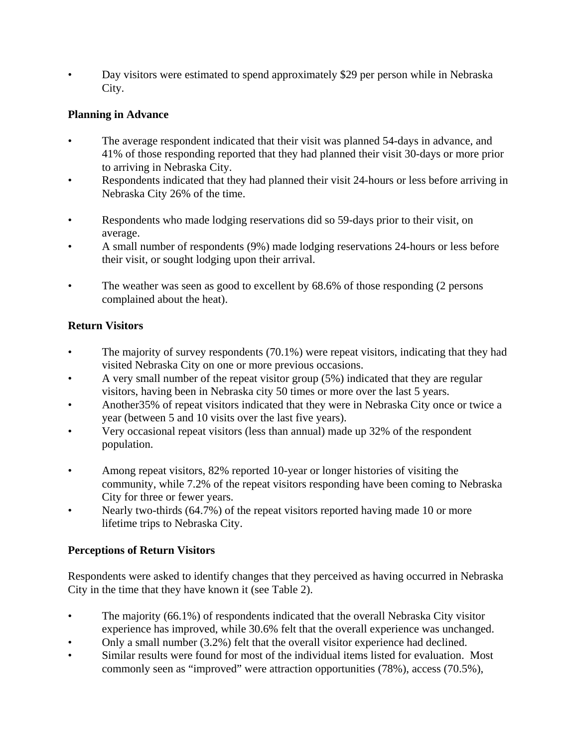• Day visitors were estimated to spend approximately \$29 per person while in Nebraska City.

# **Planning in Advance**

- The average respondent indicated that their visit was planned 54-days in advance, and 41% of those responding reported that they had planned their visit 30-days or more prior to arriving in Nebraska City.
- Respondents indicated that they had planned their visit 24-hours or less before arriving in Nebraska City 26% of the time.
- Respondents who made lodging reservations did so 59-days prior to their visit, on average.
- A small number of respondents (9%) made lodging reservations 24-hours or less before their visit, or sought lodging upon their arrival.
- The weather was seen as good to excellent by 68.6% of those responding (2 persons complained about the heat).

# **Return Visitors**

- The majority of survey respondents (70.1%) were repeat visitors, indicating that they had visited Nebraska City on one or more previous occasions.
- A very small number of the repeat visitor group  $(5%)$  indicated that they are regular visitors, having been in Nebraska city 50 times or more over the last 5 years.
- Another35% of repeat visitors indicated that they were in Nebraska City once or twice a year (between 5 and 10 visits over the last five years).
- Very occasional repeat visitors (less than annual) made up 32% of the respondent population.
- Among repeat visitors, 82% reported 10-year or longer histories of visiting the community, while 7.2% of the repeat visitors responding have been coming to Nebraska City for three or fewer years.
- Nearly two-thirds (64.7%) of the repeat visitors reported having made 10 or more lifetime trips to Nebraska City.

# **Perceptions of Return Visitors**

Respondents were asked to identify changes that they perceived as having occurred in Nebraska City in the time that they have known it (see Table 2).

- The majority (66.1%) of respondents indicated that the overall Nebraska City visitor experience has improved, while 30.6% felt that the overall experience was unchanged.
- Only a small number (3.2%) felt that the overall visitor experience had declined.
- Similar results were found for most of the individual items listed for evaluation. Most commonly seen as "improved" were attraction opportunities (78%), access (70.5%),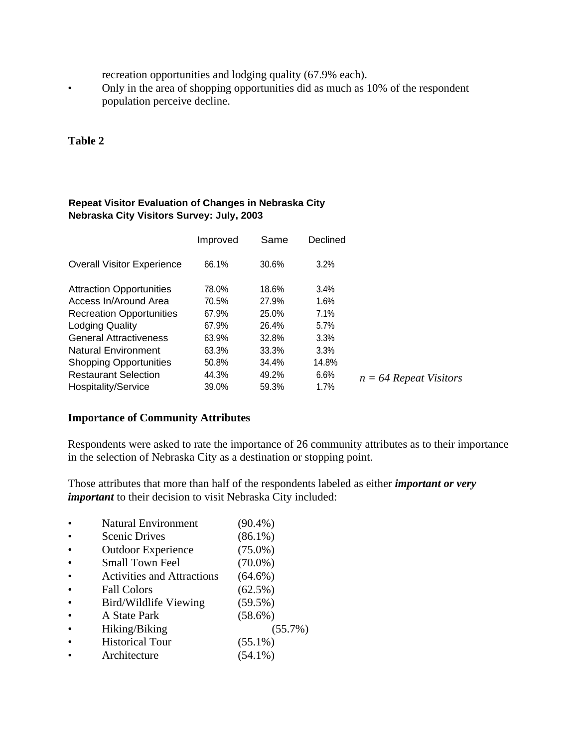recreation opportunities and lodging quality (67.9% each).

• Only in the area of shopping opportunities did as much as 10% of the respondent population perceive decline.

### **Table 2**

|                                   | Improved | Same  | Declined |                          |
|-----------------------------------|----------|-------|----------|--------------------------|
| <b>Overall Visitor Experience</b> | 66.1%    | 30.6% | 3.2%     |                          |
| <b>Attraction Opportunities</b>   | 78.0%    | 18.6% | 3.4%     |                          |
| Access In/Around Area             | 70.5%    | 27.9% | 1.6%     |                          |
| <b>Recreation Opportunities</b>   | 67.9%    | 25.0% | 7.1%     |                          |
| <b>Lodging Quality</b>            | 67.9%    | 26.4% | 5.7%     |                          |
| <b>General Attractiveness</b>     | 63.9%    | 32.8% | 3.3%     |                          |
| <b>Natural Environment</b>        | 63.3%    | 33.3% | $3.3\%$  |                          |
| <b>Shopping Opportunities</b>     | 50.8%    | 34.4% | 14.8%    |                          |
| <b>Restaurant Selection</b>       | 44.3%    | 49.2% | 6.6%     | $n = 64$ Repeat Visitors |
| Hospitality/Service               | 39.0%    | 59.3% | $1.7\%$  |                          |

### **Nebraska City Visitors Survey: July, 2003 Repeat Visitor Evaluation of Changes in Nebraska City**

#### **Importance of Community Attributes**

Respondents were asked to rate the importance of 26 community attributes as to their importance in the selection of Nebraska City as a destination or stopping point.

Those attributes that more than half of the respondents labeled as either *important or very important* to their decision to visit Nebraska City included:

- Natural Environment (90.4%)
- Scenic Drives (86.1%)
- Outdoor Experience (75.0%)
- Small Town Feel (70.0%)
- Activities and Attractions (64.6%)
- Fall Colors  $(62.5\%)$
- Bird/Wildlife Viewing (59.5%)
- A State Park (58.6%)
- Hiking/Biking (55.7%)
- Historical Tour (55.1%)
- Architecture (54.1%)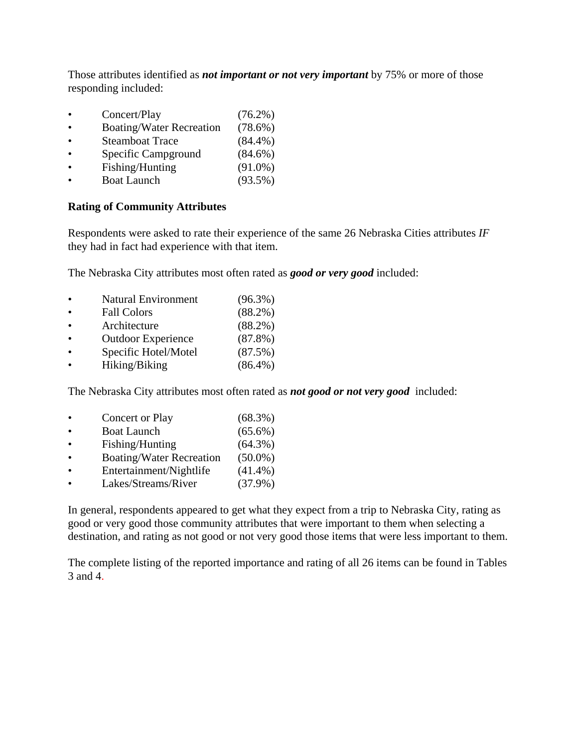Those attributes identified as *not important or not very important* by 75% or more of those responding included:

- Concert/Play (76.2%)
- Boating/Water Recreation (78.6%)
- Steamboat Trace (84.4%)
- Specific Campground (84.6%)
- Fishing/Hunting (91.0%)
- Boat Launch (93.5%)

#### **Rating of Community Attributes**

Respondents were asked to rate their experience of the same 26 Nebraska Cities attributes *IF* they had in fact had experience with that item.

The Nebraska City attributes most often rated as *good or very good* included:

- Natural Environment (96.3%)
- Fall Colors (88.2%)
- Architecture (88.2%)
- Outdoor Experience (87.8%)
- Specific Hotel/Motel (87.5%)
- Hiking/Biking (86.4%)

The Nebraska City attributes most often rated as *not good or not very good* included:

- Concert or Play (68.3%)
- Boat Launch (65.6%)
- Fishing/Hunting (64.3%)
- Boating/Water Recreation (50.0%)
- Entertainment/Nightlife (41.4%)
- Lakes/Streams/River (37.9%)

In general, respondents appeared to get what they expect from a trip to Nebraska City, rating as good or very good those community attributes that were important to them when selecting a destination, and rating as not good or not very good those items that were less important to them.

The complete listing of the reported importance and rating of all 26 items can be found in Tables 3 and 4.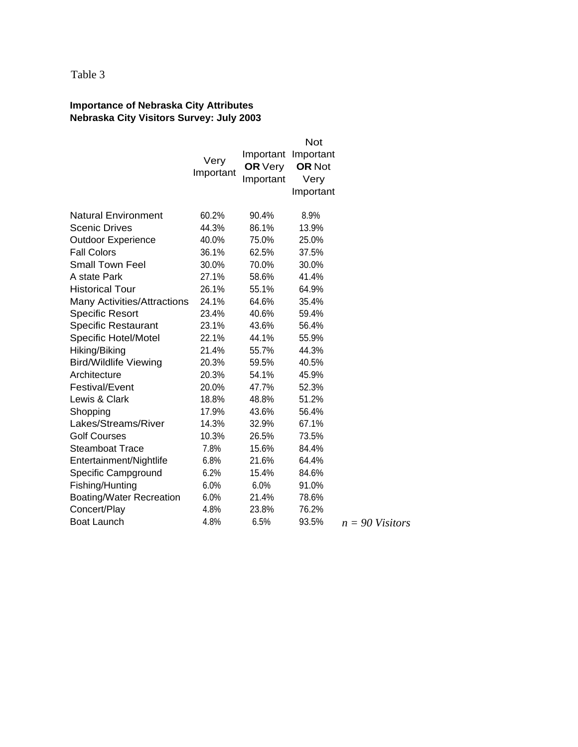#### **Importance of Nebraska City Attributes Nebraska City Visitors Survey: July 2003**

|                                 | Very<br>Important | <b>OR</b> Very<br>Important | <b>Not</b><br>Important Important<br><b>OR Not</b><br>Very<br>Important |                   |
|---------------------------------|-------------------|-----------------------------|-------------------------------------------------------------------------|-------------------|
| <b>Natural Environment</b>      | 60.2%             | 90.4%                       | 8.9%                                                                    |                   |
| <b>Scenic Drives</b>            | 44.3%             | 86.1%                       | 13.9%                                                                   |                   |
| <b>Outdoor Experience</b>       | 40.0%             | 75.0%                       | 25.0%                                                                   |                   |
| <b>Fall Colors</b>              | 36.1%             | 62.5%                       | 37.5%                                                                   |                   |
| <b>Small Town Feel</b>          | 30.0%             | 70.0%                       | 30.0%                                                                   |                   |
| A state Park                    | 27.1%             | 58.6%                       | 41.4%                                                                   |                   |
| <b>Historical Tour</b>          | 26.1%             | 55.1%                       | 64.9%                                                                   |                   |
| Many Activities/Attractions     | 24.1%             | 64.6%                       | 35.4%                                                                   |                   |
| <b>Specific Resort</b>          | 23.4%             | 40.6%                       | 59.4%                                                                   |                   |
| <b>Specific Restaurant</b>      | 23.1%             | 43.6%                       | 56.4%                                                                   |                   |
| Specific Hotel/Motel            | 22.1%             | 44.1%                       | 55.9%                                                                   |                   |
| Hiking/Biking                   | 21.4%             | 55.7%                       | 44.3%                                                                   |                   |
| <b>Bird/Wildlife Viewing</b>    | 20.3%             | 59.5%                       | 40.5%                                                                   |                   |
| Architecture                    | 20.3%             | 54.1%                       | 45.9%                                                                   |                   |
| Festival/Event                  | 20.0%             | 47.7%                       | 52.3%                                                                   |                   |
| Lewis & Clark                   | 18.8%             | 48.8%                       | 51.2%                                                                   |                   |
| Shopping                        | 17.9%             | 43.6%                       | 56.4%                                                                   |                   |
| Lakes/Streams/River             | 14.3%             | 32.9%                       | 67.1%                                                                   |                   |
| <b>Golf Courses</b>             | 10.3%             | 26.5%                       | 73.5%                                                                   |                   |
| <b>Steamboat Trace</b>          | 7.8%              | 15.6%                       | 84.4%                                                                   |                   |
| Entertainment/Nightlife         | 6.8%              | 21.6%                       | 64.4%                                                                   |                   |
| Specific Campground             | 6.2%              | 15.4%                       | 84.6%                                                                   |                   |
| Fishing/Hunting                 | 6.0%              | 6.0%                        | 91.0%                                                                   |                   |
| <b>Boating/Water Recreation</b> | 6.0%              | 21.4%                       | 78.6%                                                                   |                   |
| Concert/Play                    | 4.8%              | 23.8%                       | 76.2%                                                                   |                   |
| <b>Boat Launch</b>              | 4.8%              | 6.5%                        | 93.5%                                                                   | $n = 90$ Visitors |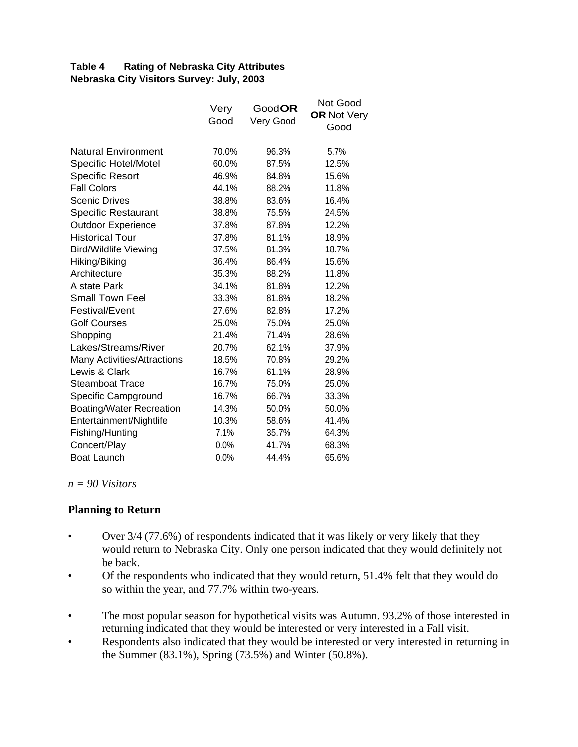### **Table 4 Rating of Nebraska City Attributes Nebraska City Visitors Survey: July, 2003**

|                                    | Very<br>Good | GoodOR<br>Very Good | Not Good<br><b>OR Not Very</b><br>Good |
|------------------------------------|--------------|---------------------|----------------------------------------|
| <b>Natural Environment</b>         | 70.0%        | 96.3%               | 5.7%                                   |
| Specific Hotel/Motel               | 60.0%        | 87.5%               | 12.5%                                  |
| <b>Specific Resort</b>             | 46.9%        | 84.8%               | 15.6%                                  |
| <b>Fall Colors</b>                 | 44.1%        | 88.2%               | 11.8%                                  |
| <b>Scenic Drives</b>               | 38.8%        | 83.6%               | 16.4%                                  |
| <b>Specific Restaurant</b>         | 38.8%        | 75.5%               | 24.5%                                  |
| <b>Outdoor Experience</b>          | 37.8%        | 87.8%               | 12.2%                                  |
| <b>Historical Tour</b>             | 37.8%        | 81.1%               | 18.9%                                  |
| <b>Bird/Wildlife Viewing</b>       | 37.5%        | 81.3%               | 18.7%                                  |
| Hiking/Biking                      | 36.4%        | 86.4%               | 15.6%                                  |
| Architecture                       | 35.3%        | 88.2%               | 11.8%                                  |
| A state Park                       | 34.1%        | 81.8%               | 12.2%                                  |
| <b>Small Town Feel</b>             | 33.3%        | 81.8%               | 18.2%                                  |
| Festival/Event                     | 27.6%        | 82.8%               | 17.2%                                  |
| <b>Golf Courses</b>                | 25.0%        | 75.0%               | 25.0%                                  |
| Shopping                           | 21.4%        | 71.4%               | 28.6%                                  |
| Lakes/Streams/River                | 20.7%        | 62.1%               | 37.9%                                  |
| <b>Many Activities/Attractions</b> | 18.5%        | 70.8%               | 29.2%                                  |
| Lewis & Clark                      | 16.7%        | 61.1%               | 28.9%                                  |
| <b>Steamboat Trace</b>             | 16.7%        | 75.0%               | 25.0%                                  |
| Specific Campground                | 16.7%        | 66.7%               | 33.3%                                  |
| <b>Boating/Water Recreation</b>    | 14.3%        | 50.0%               | 50.0%                                  |
| Entertainment/Nightlife            | 10.3%        | 58.6%               | 41.4%                                  |
| Fishing/Hunting                    | 7.1%         | 35.7%               | 64.3%                                  |
| Concert/Play                       | 0.0%         | 41.7%               | 68.3%                                  |
| <b>Boat Launch</b>                 | 0.0%         | 44.4%               | 65.6%                                  |

*n = 90 Visitors*

#### **Planning to Return**

- Over 3/4 (77.6%) of respondents indicated that it was likely or very likely that they would return to Nebraska City. Only one person indicated that they would definitely not be back.
- Of the respondents who indicated that they would return, 51.4% felt that they would do so within the year, and 77.7% within two-years.
- The most popular season for hypothetical visits was Autumn. 93.2% of those interested in returning indicated that they would be interested or very interested in a Fall visit.
- Respondents also indicated that they would be interested or very interested in returning in the Summer (83.1%), Spring (73.5%) and Winter (50.8%).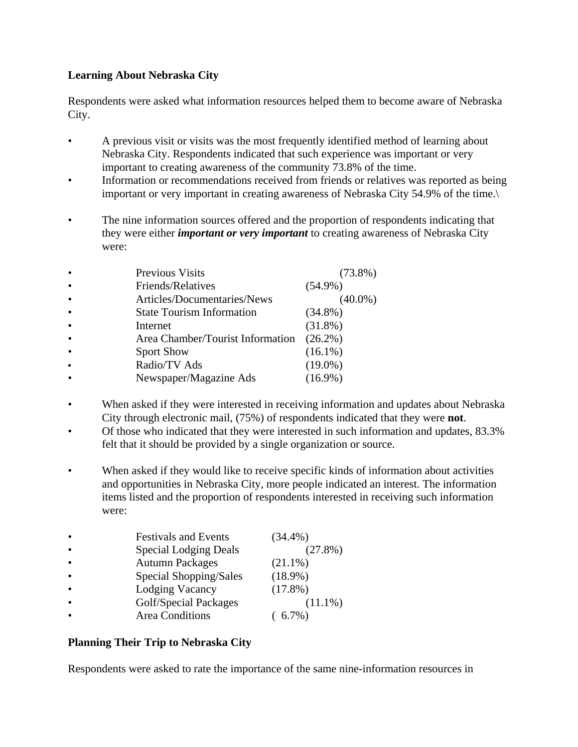### **Learning About Nebraska City**

Respondents were asked what information resources helped them to become aware of Nebraska City.

- A previous visit or visits was the most frequently identified method of learning about Nebraska City. Respondents indicated that such experience was important or very important to creating awareness of the community 73.8% of the time.
- Information or recommendations received from friends or relatives was reported as being important or very important in creating awareness of Nebraska City 54.9% of the time.\
- The nine information sources offered and the proportion of respondents indicating that they were either *important or very important* to creating awareness of Nebraska City were:

| <b>Previous Visits</b>           | $(73.8\%)$ |
|----------------------------------|------------|
| Friends/Relatives                | $(54.9\%)$ |
| Articles/Documentaries/News      | $(40.0\%)$ |
| <b>State Tourism Information</b> | $(34.8\%)$ |
| Internet                         | $(31.8\%)$ |
| Area Chamber/Tourist Information | $(26.2\%)$ |
| <b>Sport Show</b>                | $(16.1\%)$ |
| Radio/TV Ads                     | $(19.0\%)$ |
| Newspaper/Magazine Ads           | $(16.9\%)$ |

- When asked if they were interested in receiving information and updates about Nebraska City through electronic mail, (75%) of respondents indicated that they were **not**.
- Of those who indicated that they were interested in such information and updates, 83.3% felt that it should be provided by a single organization or source.
- When asked if they would like to receive specific kinds of information about activities and opportunities in Nebraska City, more people indicated an interest. The information items listed and the proportion of respondents interested in receiving such information were:

| $\bullet$ | <b>Festivals and Events</b>  | $(34.4\%)$ |
|-----------|------------------------------|------------|
| $\bullet$ | <b>Special Lodging Deals</b> | $(27.8\%)$ |
| $\bullet$ | <b>Autumn Packages</b>       | $(21.1\%)$ |
|           | Special Shopping/Sales       | $(18.9\%)$ |
| $\bullet$ | Lodging Vacancy              | $(17.8\%)$ |
|           | Golf/Special Packages        | $(11.1\%)$ |
|           | <b>Area Conditions</b>       | $6.7\%$ )  |

## **Planning Their Trip to Nebraska City**

Respondents were asked to rate the importance of the same nine-information resources in